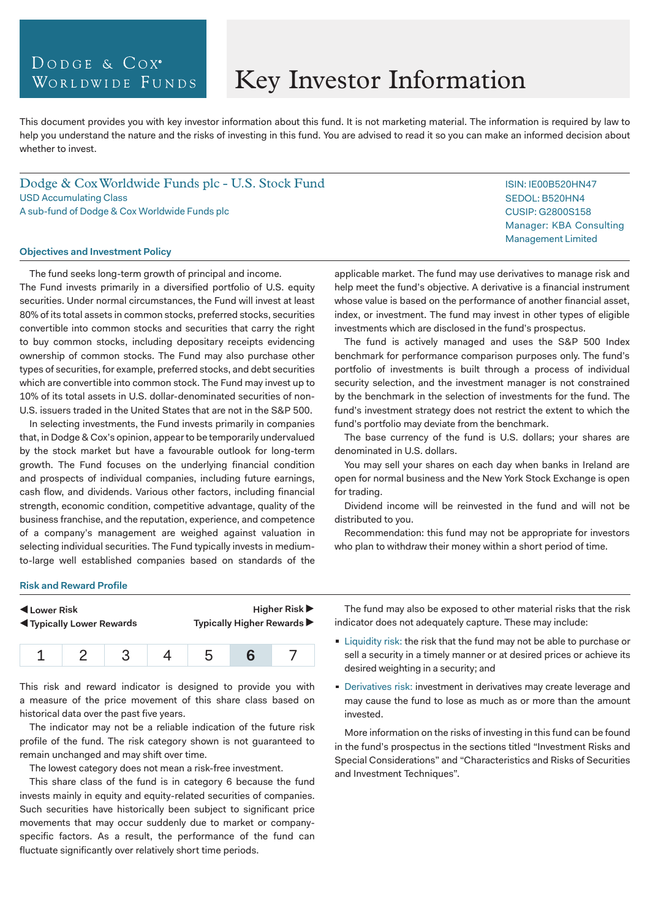## DODGE & COX<sup>®</sup> WORLDWIDE FUNDS

# Key Investor Information

This document provides you with key investor information about this fund. It is not marketing material. The information is required by law to help you understand the nature and the risks of investing in this fund. You are advised to read it so you can make an informed decision about whether to invest.

Dodge & Cox Worldwide Funds plc - U.S. Stock Fund USD Accumulating Class A sub-fund of Dodge & Cox Worldwide Funds plc

#### **Objectives and Investment Policy**

The fund seeks long-term growth of principal and income. The Fund invests primarily in a diversified portfolio of U.S. equity securities. Under normal circumstances, the Fund will invest at least 80% of its total assets in common stocks, preferred stocks, securities convertible into common stocks and securities that carry the right to buy common stocks, including depositary receipts evidencing ownership of common stocks. The Fund may also purchase other types of securities, for example, preferred stocks, and debt securities which are convertible into common stock. The Fund may invest up to 10% of its total assets in U.S. dollar-denominated securities of non-U.S. issuers traded in the United States that are not in the S&P 500.

In selecting investments, the Fund invests primarily in companies that, in Dodge & Cox's opinion, appear to be temporarily undervalued by the stock market but have a favourable outlook for long-term growth. The Fund focuses on the underlying financial condition and prospects of individual companies, including future earnings, cash flow, and dividends. Various other factors, including financial strength, economic condition, competitive advantage, quality of the business franchise, and the reputation, experience, and competence of a company's management are weighed against valuation in selecting individual securities. The Fund typically invests in mediumto-large well established companies based on standards of the

applicable market. The fund may use derivatives to manage risk and help meet the fund's objective. A derivative is a financial instrument whose value is based on the performance of another financial asset, index, or investment. The fund may invest in other types of eligible investments which are disclosed in the fund's prospectus.

The fund is actively managed and uses the S&P 500 Index benchmark for performance comparison purposes only. The fund's portfolio of investments is built through a process of individual security selection, and the investment manager is not constrained by the benchmark in the selection of investments for the fund. The fund's investment strategy does not restrict the extent to which the fund's portfolio may deviate from the benchmark.

The base currency of the fund is U.S. dollars; your shares are denominated in U.S. dollars.

You may sell your shares on each day when banks in Ireland are open for normal business and the New York Stock Exchange is open for trading.

Dividend income will be reinvested in the fund and will not be distributed to you.

Recommendation: this fund may not be appropriate for investors who plan to withdraw their money within a short period of time.

#### **Risk and Reward Profile**

| Lower Risk<br><b>Example 1</b> Typically Lower Rewards |  | Higher Risk $\blacktriangleright$<br>Typically Higher Rewards ▶ |
|--------------------------------------------------------|--|-----------------------------------------------------------------|
|                                                        |  |                                                                 |

1 2 3 4 5 **6** 7

This risk and reward indicator is designed to provide you with a measure of the price movement of this share class based on historical data over the past five years.

The indicator may not be a reliable indication of the future risk profile of the fund. The risk category shown is not guaranteed to remain unchanged and may shift over time.

The lowest category does not mean a risk-free investment.

This share class of the fund is in category 6 because the fund invests mainly in equity and equity-related securities of companies. Such securities have historically been subject to significant price movements that may occur suddenly due to market or companyspecific factors. As a result, the performance of the fund can fluctuate significantly over relatively short time periods.

The fund may also be exposed to other material risks that the risk indicator does not adequately capture. These may include:

- **Liquidity risk: the risk that the fund may not be able to purchase or** sell a security in a timely manner or at desired prices or achieve its desired weighting in a security; and
- Derivatives risk: investment in derivatives may create leverage and may cause the fund to lose as much as or more than the amount invested.

More information on the risks of investing in this fund can be found in the fund's prospectus in the sections titled "Investment Risks and Special Considerations" and "Characteristics and Risks of Securities and Investment Techniques".

ISIN: IE00B520HN47 SEDOL: B520HN4 CUSIP: G2800S158 Manager: KBA Consulting Management Limited